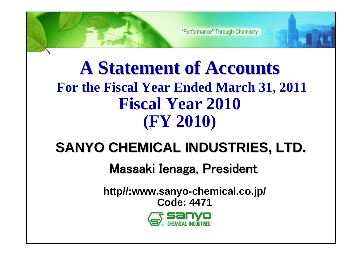# **A Statement of Accounts A Statement of Accounts For the Fiscal Year Ended March 31, 2011 Fiscal Year 2010 (FY 2010)**

# **SANYO CHEMICAL INDUSTRIES, LTD. SANYO CHEMICAL INDUSTRIES, LTD.**

# Masaaki Ienaga, President

**http//:www.sanyo-chemical.co.jp/ Code: 4471**

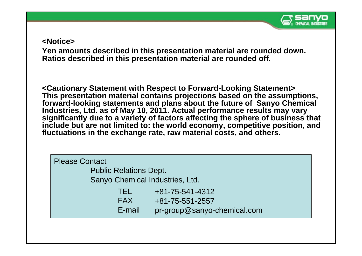

#### **<Notice>**

**Yen amounts described in this presentation material are rounded down. Ratios described in this presentation material are rounded off.**

**<Cautionary Statement with Respect to Forward-Looking Statement> This presentation material contains projections based on the assumptions, forward-looking statements and plans about the future of Sanyo Chemical Industries, Ltd. as of May 10, 2011. Actual performance results may vary significantly due to a variety of factors affecting the sphere of business that include but are not limited to: the world economy, competitive position, and fluctuations in the exchange rate, raw material costs, and others.** 

| <b>Please Contact</b>           |                             |
|---------------------------------|-----------------------------|
| <b>Public Relations Dept.</b>   |                             |
| Sanyo Chemical Industries, Ltd. |                             |
| TEL                             | +81-75-541-4312             |
| <b>FAX</b>                      | +81-75-551-2557             |
| E-mail                          | pr-group@sanyo-chemical.com |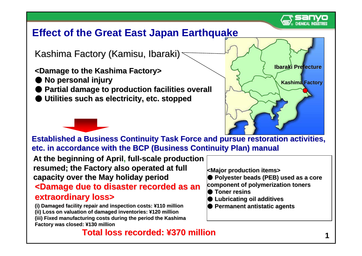

**Ibaraki Prefecture Ibaraki Prefecture**

**Kashima Factory**

## **Effect of the Great East Japan Earthquake**

Kashima Factory (Kamisu, Ibaraki)

### **<Damage to the Kashima Factory> <Damage to the Kashima Factory>**

- ●**No personal injury No personal injury**
- $\bullet$  **Partial damage to production facilities overall**
- ●**Utilities such as electricity, etc. stopped Utilities such as electricity, etc. stopped**



**At the beginning of April At the beginning of April, full -scale production scale production**  resumed; the Factory also operated at full **capacity over the May holiday period capacity over the May holiday period**

#### **<Damage due to disaster recorded as an <Damage due to disaster recorded as an extraordinary loss> extraordinary loss>**

**(i) Damaged facility repair (i) facility repair and inspection costs: and inspection costs: ¥110 million** (ii) Loss on valuation of damaged inventories: ¥120 million **(iii) Fixed manufacturing costs during the period the Kashima ring the period the Kashima Factory was closed: Factory closed: ¥130 million**

### **Total loss recorded: Total loss recorded: ¥370 million 0 million**

**<Major production items> <Major production items>**

●**Polyester beads (PEB) used as a core** 

**component of polymerization toners component of polymerization toners**

- ●**Toner resins Toner resins**
- ●**Lubricating oil additives Lubricating oil additives**
- ●**Permanent antistatic agents Permanent antistatic agents**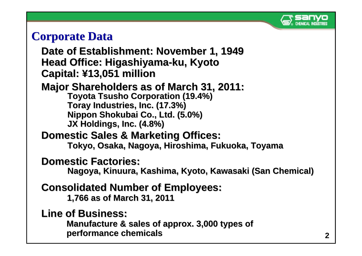

# **Corporate Data**

## Date of Establishment: November 1, 1949 **Head Office: Higashiyama Head Office: Higashiyama -ku, Kyoto ku, Kyoto Capital: Capital: ¥13,051 million 13,051 million**

## **Major Shareholders as of March 31, 2011:**

**Toyota Tsusho Corporation (19.4%) Toray Industries, Inc. (17.3%) Toray Industries, Inc. (17.3%) Nippon Shokubai Co., Ltd. (5.0%) Nippon Shokubai Co., Ltd. (5.0%) JX Holdings, Inc. (4. JX Holdings, Inc. (4. 8%)**

## **Domestic Sales & Marketing Offices:**

Tokyo, Osaka, Nagoya, Hiroshima, Fukuoka, Toyama

## **Domestic Factories:**

**Nagoya, Nagoya, Kinuura Kinuura, Kashima, Kyoto, Kawasaki (San Chemical) , Kashima, Kyoto, Kawasaki (San Chemical)**

## **Consolidated Number of Employees: Consolidated Number of Employees:**

**1, 766as of March 31, 2011 as of March 31, 2011**

## **Line of Business: Line of Business:**

Manufacture & sales of approx. 3,000 types of **performance chemicals performance chemicals**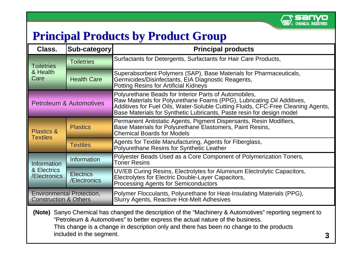

**3**

# **Principal Products by Product Group**

| Class.                                                               | Sub-category                       | <b>Principal products</b>                                                                                                                                                                                                                                                                    |  |  |  |  |
|----------------------------------------------------------------------|------------------------------------|----------------------------------------------------------------------------------------------------------------------------------------------------------------------------------------------------------------------------------------------------------------------------------------------|--|--|--|--|
| <b>Toiletries</b>                                                    | <b>Toiletries</b>                  | Surfactants for Detergents, Surfactants for Hair Care Products,                                                                                                                                                                                                                              |  |  |  |  |
| & Health<br>Care                                                     | <b>Health Care</b>                 | Superabsorbent Polymers (SAP), Base Materials for Pharmaceuticals,<br>Germicides/Disinfectants, EIA Diagnostic Reagents,<br><b>Potting Resins for Artificial Kidneys</b>                                                                                                                     |  |  |  |  |
|                                                                      | <b>Petroleum &amp; Automotives</b> | Polyurethane Beads for Interior Parts of Automobiles,<br>Raw Materials for Polyurethane Foams (PPG), Lubricating Oil Additives,<br>Additives for Fuel Oils, Water-Soluble Cutting Fluids, CFC-Free Cleaning Agents,<br>Base Materials for Synthetic Lubricants, Paste resin for design model |  |  |  |  |
| <b>Plastics &amp;</b><br><b>Textiles</b>                             | <b>Plastics</b>                    | Permanent Antistatic Agents, Pigment Dispersants, Resin Modifiers,<br>Base Materials for Polyurethane Elastomers, Paint Resins,<br><b>Chemical Boards for Models</b>                                                                                                                         |  |  |  |  |
|                                                                      | <b>Textiles</b>                    | Agents for Textile Manufacturing, Agents for Fiberglass,<br>Polyurethane Resins for Synthetic Leather                                                                                                                                                                                        |  |  |  |  |
| Information                                                          | Information                        | Polyester Beads Used as a Core Component of Polymerization Toners,<br><b>Toner Resins</b>                                                                                                                                                                                                    |  |  |  |  |
| & Electrics<br>/Electronics                                          | <b>Electrics</b><br>/Electronics   | UV/EB Curing Resins, Electrolytes for Aluminum Electrolytic Capacitors,<br>Electrolytes for Electric Double-Layer Capacitors,<br><b>Processing Agents for Semiconductors</b>                                                                                                                 |  |  |  |  |
| <b>Environmental Protection,</b><br><b>Construction &amp; Others</b> |                                    | Polymer Flocculants, Polyurethane for Heat-Insulating Materials (PPG),<br><b>Slurry Agents, Reactive Hot-Melt Adhesives</b>                                                                                                                                                                  |  |  |  |  |

**(Note)** Sanyo Chemical has changed the description of the "Machinery & Automotives" reporting segment to "Petroleum & Automotives" to better express the actual nature of the business. This change is a change in description only and there has been no change to the products included in the segment.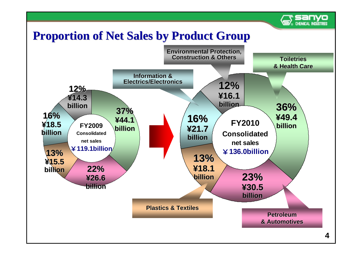

# **Proportion of Net Sales by Product Group**

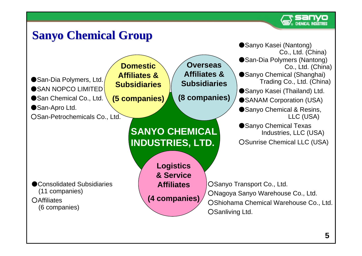

# **Sanyo Chemical Group**

![](_page_6_Figure_2.jpeg)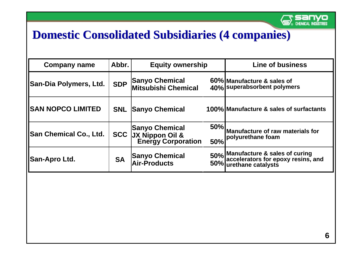![](_page_7_Picture_0.jpeg)

# **Domestic Consolidated Subsidiaries (4 companies) Domestic Consolidated Subsidiaries (4 companies)**

| <b>Company name</b>           | Abbr.      | <b>Equity ownership</b>                                                   |            | <b>Line of business</b>                                                                               |
|-------------------------------|------------|---------------------------------------------------------------------------|------------|-------------------------------------------------------------------------------------------------------|
| <b>San-Dia Polymers, Ltd.</b> | <b>SDP</b> | <b>Sanyo Chemical</b><br>Mitsubishi Chemical                              |            | 60% Manufacture & sales of<br>40% superabsorbent polymers                                             |
| <b>SAN NOPCO LIMITED</b>      | <b>SNL</b> | <b>Sanyo Chemical</b>                                                     |            | 100% Manufacture & sales of surfactants                                                               |
| <b>San Chemical Co., Ltd.</b> |            | <b>Sanyo Chemical</b><br><b>SCC</b> JX Nippon Oil &<br>Energy Corporation | 50%<br>50% | Manufacture of raw materials for<br>polyurethane foam                                                 |
| <b>San-Apro Ltd.</b>          | <b>SA</b>  | <b>Sanyo Chemical</b><br>Air-Products                                     |            | 50% Manufacture & sales of curing<br>50% accelerators for epoxy resins, and<br>50% urethane catalysts |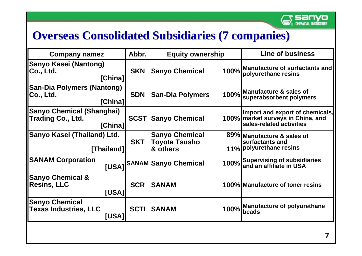![](_page_8_Picture_0.jpeg)

# **Overseas Consolidated Subsidiaries (7 companies)**

| <b>Company namez</b>                                             | Abbr.       | <b>Equity ownership</b>                                   |             | <b>Line of business</b>                                                                          |
|------------------------------------------------------------------|-------------|-----------------------------------------------------------|-------------|--------------------------------------------------------------------------------------------------|
| Sanyo Kasei (Nantong)<br>Co., Ltd.<br>[China]                    | <b>SKN</b>  | <b>Sanyo Chemical</b>                                     | 100%        | <b>Manufacture of surfactants and</b><br>polyurethane resins                                     |
| <b>San-Dia Polymers (Nantong)</b><br>Co., Ltd.<br>[China]        | <b>SDN</b>  | <b>San-Dia Polymers</b>                                   | 100%        | Manufacture & sales of<br>superabsorbent polymers                                                |
| <b>Sanyo Chemical (Shanghai)</b><br>Trading Co., Ltd.<br>[China] | <b>SCST</b> | <b>Sanyo Chemical</b>                                     |             | Import and export of chemicals,<br>100% market surveys in China, and<br>sales-related activities |
| Sanyo Kasei (Thailand) Ltd.<br>[Thailand]                        | <b>SKT</b>  | <b>Sanyo Chemical</b><br><b>Toyota Tsusho</b><br>& others |             | 89% Manufacture & sales of<br>surfactants and<br>11%   polyurethane resins                       |
| <b>SANAM Corporation</b>                                         |             | [USA] SANAM Sanyo Chemical                                |             | 100% Supervising of subsidiaries                                                                 |
| <b>Sanyo Chemical &amp;</b><br><b>Resins, LLC</b><br>[USA]       | <b>SCR</b>  | <b>SANAM</b>                                              |             | 100% Manufacture of toner resins                                                                 |
| <b>Sanyo Chemical</b><br><b>Texas Industries, LLC</b><br>[USA]   | <b>SCTI</b> | <b>SANAM</b>                                              | <b>100%</b> | <b>Manufacture of polyurethane</b><br>beads                                                      |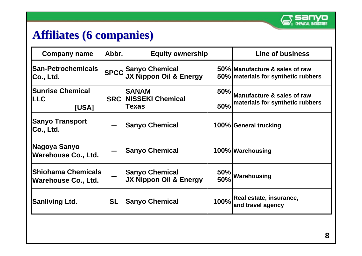![](_page_9_Picture_0.jpeg)

# **Affiliates (6 companies) Affiliates (6 companies)**

| <b>Company name</b>                              | Abbr.                 | <b>Equity ownership</b>                                     | <b>Line of business</b>                                               |                                                                   |
|--------------------------------------------------|-----------------------|-------------------------------------------------------------|-----------------------------------------------------------------------|-------------------------------------------------------------------|
| <b>San-Petrochemicals</b><br>Co., Ltd.           |                       | SPCC Sanyo Chemical<br>SPCC JX Nippon Oil & Energy          | 50% Manufacture & sales of raw<br>50% materials for synthetic rubbers |                                                                   |
| <b>Sunrise Chemical</b><br><b>LLC</b><br>[USA]   |                       | <b>SANAM</b><br>50%<br><b>SRC NISSEKI Chemical</b><br>Texas |                                                                       | Manufacture & sales of raw<br>50% materials for synthetic rubbers |
| <b>Sanyo Transport</b><br>Co., Ltd.              | <b>Sanyo Chemical</b> |                                                             |                                                                       | 100% General trucking                                             |
| Nagoya Sanyo<br><b>Warehouse Co., Ltd.</b>       |                       | <b>Sanyo Chemical</b>                                       |                                                                       | 100% Warehousing                                                  |
| Shiohama Chemicals<br><b>Warehouse Co., Ltd.</b> |                       | <b>Sanyo Chemical</b><br>JX Nippon Oil & Energy             |                                                                       | 50% Warehousing                                                   |
| <b>Sanliving Ltd.</b>                            | <b>SL</b>             | <b>Sanyo Chemical</b>                                       |                                                                       | 100% Real estate, insurance,<br>and travel agency                 |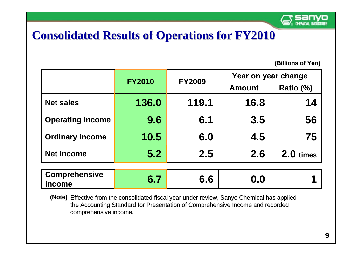![](_page_10_Picture_0.jpeg)

# **Consolidated Results of Operations for FY2010 Consolidated Results of Operations for FY2010**

|                                | <b>FY2010</b> | <b>FY2009</b> | Year on year change |             |
|--------------------------------|---------------|---------------|---------------------|-------------|
|                                |               |               | <b>Amount</b>       | Ratio (%)   |
| <b>Net sales</b>               | 136.0         | 119.1         | 16.8                | 14          |
| <b>Operating income</b>        | 9.6           | 6.1           | 3.5                 | 56          |
| <b>Ordinary income</b>         | 10.5          | 6.0           | 4.5                 | 75          |
| <b>Net income</b>              | 5.2           | 2.5           | 2.6                 | $2.0$ times |
|                                |               |               |                     |             |
| <b>Comprehensive</b><br>income | 6.7           | 6.6           | 0.0                 |             |

<sup>(</sup>Note) Effective from the consolidated fiscal year under review, Sanyo Chemical has applied the Accounting Standard for Presentation of Comprehensive Income and recorded comprehensive income.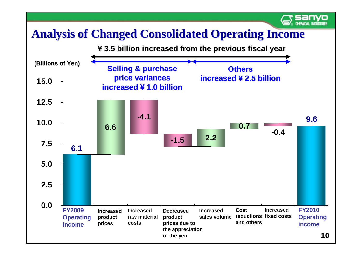# **Analysis of Changed Consolidated Operating Income**

![](_page_11_Figure_1.jpeg)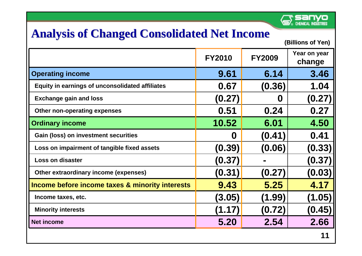![](_page_12_Picture_0.jpeg)

# **Analysis of Changed Consolidated Net Income**

|                                                        | <b>FY2010</b> | <b>FY2009</b> | Year on year<br>change |
|--------------------------------------------------------|---------------|---------------|------------------------|
| <b>Operating income</b>                                | 9.61          | 6.14          | 3.46                   |
| <b>Equity in earnings of unconsolidated affiliates</b> | 0.67          | (0.36)        | 1.04                   |
| <b>Exchange gain and loss</b>                          | (0.27)        | U             | (0.27)                 |
| Other non-operating expenses                           | 0.51          | 0.24          | 0.27                   |
| <b>Ordinary income</b>                                 | 10.52         | 6.01          | 4.50                   |
| <b>Gain (loss) on investment securities</b>            | 0             | (0.41)        | 0.41                   |
| Loss on impairment of tangible fixed assets            | (0.39)        | (0.06)        | (0.33)                 |
| <b>Loss on disaster</b>                                | (0.37)        |               | (0.37)                 |
| Other extraordinary income (expenses)                  | (0.31)        | (0.27)        | (0.03)                 |
| Income before income taxes & minority interests        | 9.43          | 5.25          | 4.17                   |
| Income taxes, etc.                                     | (3.05)        | (1.99)        | (1.05)                 |
| <b>Minority interests</b>                              | (1.17)        | (0.72)        | (0.45)                 |
| <b>Net income</b>                                      | 5.20          | 2.54          | 2.66                   |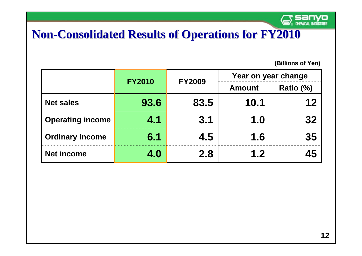![](_page_13_Picture_0.jpeg)

# **Non-Consolidated Results of Operations for FY2010**

|                         | <b>FY2010</b> | <b>FY2009</b> |               | Year on year change |
|-------------------------|---------------|---------------|---------------|---------------------|
|                         |               |               | <b>Amount</b> | Ratio (%)           |
| <b>Net sales</b>        | 93.6          | 83.5          | 10.1          | 12                  |
| <b>Operating income</b> | 4.1           | 3.1           | 1.0           | 32                  |
| <b>Ordinary income</b>  | 6.1           | 4.5           | 1.6           | 35                  |
| <b>Net income</b>       | 4.0           | 2.8           | 1.2           | 45                  |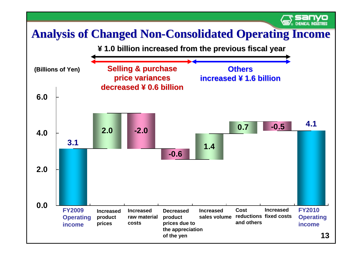# **Analysis of Changed Non-Consolidated Operating Income**

![](_page_14_Figure_1.jpeg)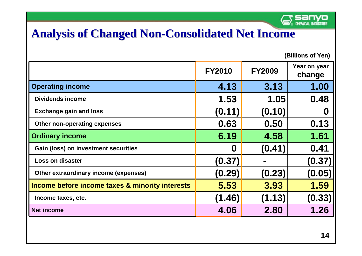![](_page_15_Picture_0.jpeg)

# **Analysis of Changed Non-Consolidated Net Income**

|                                                 | <b>FY2010</b>    | <b>FY2009</b> | Year on year<br>change |
|-------------------------------------------------|------------------|---------------|------------------------|
| <b>Operating income</b>                         | 4.13             | 3.13          | 1.00                   |
| <b>Dividends income</b>                         | 1.53             | 1.05          | 0.48                   |
| <b>Exchange gain and loss</b>                   | (0.11)           | (0.10)        | 0                      |
| Other non-operating expenses                    | 0.63             | 0.50          | 0.13                   |
| <b>Ordinary income</b>                          | 6.19             | 4.58          | 1.61                   |
| <b>Gain (loss) on investment securities</b>     | $\boldsymbol{0}$ | (0.41)        | 0.41                   |
| <b>Loss on disaster</b>                         | (0.37)           |               | (0.37)                 |
| Other extraordinary income (expenses)           | (0.29)           | (0.23)        | (0.05)                 |
| Income before income taxes & minority interests | 5.53             | 3.93          | 1.59                   |
| Income taxes, etc.                              | (1.46)           | (1.13)        | (0.33)                 |
| <b>Net income</b>                               | 4.06             | 2.80          | 1.26                   |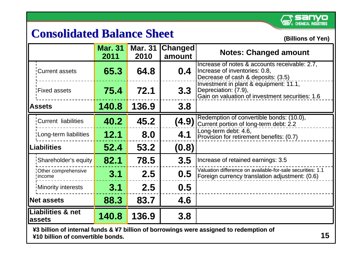![](_page_16_Picture_0.jpeg)

# **Consolidated Balance Sheet Consolidated Balance Sheet** *(Billions of Yen)*

|               |                                         | <b>Mar. 31</b><br>2011 | <b>Mar. 31</b><br>2010 | Changed<br>amount | <b>Notes: Changed amount</b>                                                                                         |
|---------------|-----------------------------------------|------------------------|------------------------|-------------------|----------------------------------------------------------------------------------------------------------------------|
|               | Current assets                          | 65.3                   | 64.8                   | 0.4               | Increase of notes & accounts receivable: 2.7,<br>Increase of inventories: 0.8,<br>Decrease of cash & deposits: (3.5) |
|               | Fixed assets                            | 75.4                   | 72.1                   | 3.3 <sub>1</sub>  | Investment in plant & equipment: 11.1,<br>Depreciation: (7.9),<br>Gain on valuation of investment securities: 1.6    |
| <b>Assets</b> |                                         | 140.8                  | 136.9                  | 3.8               |                                                                                                                      |
|               | Current liabilities                     | 40.2                   | 45.2                   | (4.9)             | Redemption of convertible bonds: (10.0),<br>Current portion of long-term debt: 2.2                                   |
|               | 'Long-term liabilities                  | 12.1                   | 8.0                    | 4.1               | Long-term debt: 4.6,<br>Provision for retirement benefits: (0.7)                                                     |
|               | <b>Liabilities</b>                      | 52.4                   | 53.2                   | (0.8)             |                                                                                                                      |
|               | Shareholder's equity                    | 82.1                   | 78.5                   | 3.5               | Increase of retained earnings: 3.5                                                                                   |
|               | Other comprehensive<br>! income         | 3.1                    | 2.5                    | 0.5               | Valuation difference on available-for-sale securities: 1.1<br>Foreign currency translation adjustment: (0.6)         |
|               | Minority interests                      | 3.1                    | 2.5                    | 0.5               |                                                                                                                      |
|               | <b>Net assets</b>                       | 88.3                   | 83.7                   | 4.6               |                                                                                                                      |
|               | <b>Liabilities &amp; net</b><br>lassets | 140.8                  | 136.9                  | 3.8               |                                                                                                                      |

¥3 billion of internal funds & ¥7 billion of borrowings were assigned to redemption of ¥10 billion of convertible bonds. **15**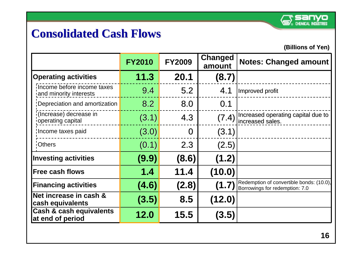![](_page_17_Picture_0.jpeg)

# **Consolidated Cash Flows Consolidated Cash Flows**

|                                                        | <b>FY2010</b> | <b>FY2009</b> | Changed<br>amount | <b>Notes: Changed amount</b>                                               |
|--------------------------------------------------------|---------------|---------------|-------------------|----------------------------------------------------------------------------|
| <b>Operating activities</b>                            | 11.3          | 20.1          | (8.7)             |                                                                            |
| Income before income taxes<br>and minority interests   | 9.4           | 5.2           | 4.1               | Improved profit                                                            |
| Depreciation and amortization                          | 8.2           | 8.0           | 0.1               |                                                                            |
| (Increase) decrease in<br>operating capital            | (3.1)         | 4.3           | (7.4)             | Increased operating capital due to<br>increased sales.                     |
| Income taxes paid                                      | (3.0)         | $\Omega$      | (3.1)             |                                                                            |
| <b>Others</b>                                          | (0.1)         | 2.3           | (2.5)             |                                                                            |
| <b>Investing activities</b>                            | (9.9)         | (8.6)         | (1.2)             |                                                                            |
| <b>Free cash flows</b>                                 | 1.4           | 11.4          | (10.0)            |                                                                            |
| <b>Financing activities</b>                            | (4.6)         | (2.8)         | (1.7)             | Redemption of convertible bonds: (10.0),<br>Borrowings for redemption: 7.0 |
| Net increase in cash &<br>cash equivalents             | (3.5)         | 8.5           | (12.0)            |                                                                            |
| <b>Cash &amp; cash equivalents</b><br>at end of period | 12.0          | 15.5          | (3.5)             |                                                                            |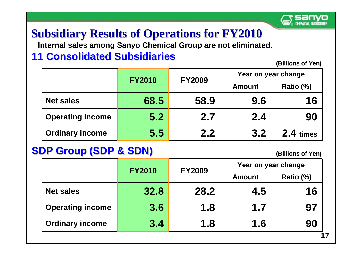![](_page_18_Picture_0.jpeg)

# **Subsidiary Results of Operations for FY2010**

**Internal sales among Sanyo Chemical Group are not eliminated.** 

## **11 Consolidated Subsidiaries**

**(Billions of Yen) (Billions of Yen)** 

|                         | <b>FY2010</b> |               | Year on year change |             |  |
|-------------------------|---------------|---------------|---------------------|-------------|--|
|                         |               | <b>FY2009</b> | <b>Amount</b>       | Ratio (%)   |  |
| <b>Net sales</b>        | 68.5          | 58.9          | 9.6                 | 16          |  |
| <b>Operating income</b> | 5.2           | 2.7           | 2.4                 | 90          |  |
| <b>Ordinary income</b>  | 5.5           | 2.2           | 3.2                 | $2.4$ times |  |

## **SDP Group (SDP & SDN)**

|                         | <b>FY2010</b> | Year on year change<br><b>FY2009</b> |               |           |
|-------------------------|---------------|--------------------------------------|---------------|-----------|
|                         |               |                                      | <b>Amount</b> | Ratio (%) |
| <b>Net sales</b>        | 32.8          | 28.2                                 | 4.5           | 16        |
| <b>Operating income</b> | 3.6           | 1.8                                  | 1.7           | 97        |
| <b>Ordinary income</b>  | 3.4           | 1.8                                  | 1.6           | 90        |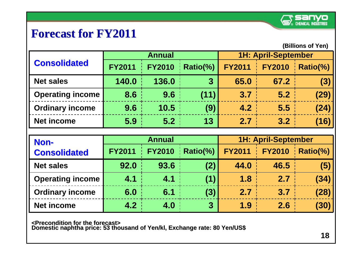![](_page_19_Picture_0.jpeg)

# **Forecast for FY2011**

**(Billions of Yen) (Billions of Yen)** 

| <b>Consolidated</b>     |               | <b>Annual</b> |                | <b>1H: April-September</b> |               |          |
|-------------------------|---------------|---------------|----------------|----------------------------|---------------|----------|
|                         | <b>FY2011</b> | <b>FY2010</b> | Ratio(%)       | <b>FY2011</b>              | <b>FY2010</b> | Ratio(%) |
| <b>Net sales</b>        | 140.0         | 136.0         | $\overline{3}$ | 65.0                       | 67.2          | (3)      |
| <b>Operating income</b> | 8.6           | 9.6           | (11)           | 3.7                        | 5.2           | (29)     |
| <b>Ordinary income</b>  | 9.6           | 10.5          | (9)            | 4.2                        | 5.5           | (24)     |
| <b>Net income</b>       | 5.9           | 5.2           | 13             | 2.7                        | 3.2           | (16)     |

| Non-<br><b>Consolidated</b> | <b>Annual</b> |               |                | <b>1H: April-September</b> |               |          |
|-----------------------------|---------------|---------------|----------------|----------------------------|---------------|----------|
|                             | <b>FY2011</b> | <b>FY2010</b> | Ratio(%)       | <b>FY2011</b>              | <b>FY2010</b> | Ratio(%) |
| <b>Net sales</b>            | 92.0          | 93.6          | (2)            | 44.0                       | 46.5          | (5)      |
| <b>Operating income</b>     | 4.1           | 4.1           | (1)            | 1.8                        | 2.7           | (34)     |
| <b>Ordinary income</b>      | 6.0           | 6.1           | (3)            | 2.7                        | 3.7           | (28)     |
| <b>Net income</b>           | 4.2           | 4.0           | $\overline{3}$ | 1.9                        | 2.6           | (30)     |

<Precondition for the forecast><br>Domestic naphtha price: 53 thousand of Yen/kl, Exchange rate: 80 Yen/US\$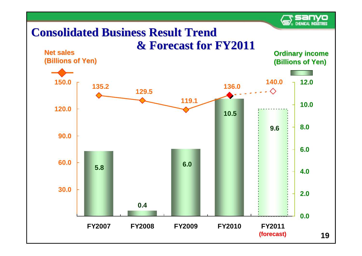![](_page_20_Picture_0.jpeg)

# **Consolidated Business Result Trend Consolidated Business Result Trend**

![](_page_20_Figure_2.jpeg)

![](_page_20_Figure_3.jpeg)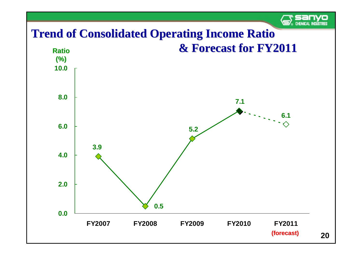![](_page_21_Picture_0.jpeg)

# **Trend of Consolidated Operating Income Ratio**

![](_page_21_Figure_2.jpeg)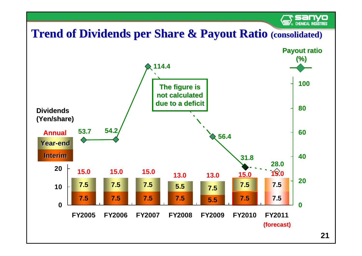# **Trend of Dividends per Share & Payout Ratio (consolidated)**

![](_page_22_Figure_1.jpeg)

**CHEMICAL INDUSTRIES**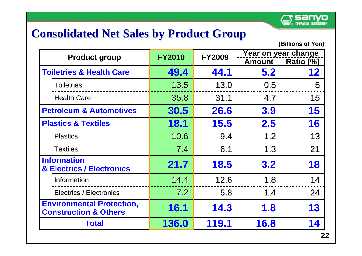## **Consolidated Net Sales by Product Group**

| <b>Product group</b>                                                 | <b>FY2010</b> | <b>FY2009</b> | Year on year change |           |
|----------------------------------------------------------------------|---------------|---------------|---------------------|-----------|
|                                                                      |               |               | <b>Amount</b>       | Ratio (%) |
| <b>Toiletries &amp; Health Care</b>                                  | 49.4          | 44.1          | 5.2                 | 12        |
| Toiletries                                                           | 13.5          | 13.0          | 0.5 <sub>1</sub>    | 5         |
| <b>Health Care</b>                                                   | 35.8          | 31.1          | 4.7                 | 15        |
| <b>Petroleum &amp; Automotives</b>                                   | 30.5          | 26.6          | 3.9                 | 15        |
| <b>Plastics &amp; Textiles</b>                                       | <b>18.1</b>   | <b>15.5</b>   | 2.5                 | 16        |
| <b>Plastics</b>                                                      | 10.6          | 9.4           | 1.2                 | 13        |
| <b>Textiles</b>                                                      | 7.4           | 6.1           | 1.3                 | 21        |
| <b>Information</b><br><b>&amp; Electrics / Electronics</b>           | 21.7          | 18.5          | 3.2                 | 18        |
| Information                                                          | 14.4          | 12.6          | 1.8                 | 14        |
| <b>Electrics / Electronics</b>                                       | 7.2           | 5.8           | 1.4                 | 24        |
| <b>Environmental Protection,</b><br><b>Construction &amp; Others</b> | 16.1          | 14.3          | 1.8                 | 13        |
| <b>Total</b>                                                         | 136.0         | 119.1         | 16.8                |           |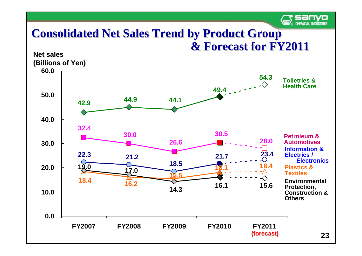![](_page_24_Picture_0.jpeg)

## **Consolidated Net Sales Trend by Product Group & Forecast & Forecast for FY2011 for FY2011**

![](_page_24_Figure_2.jpeg)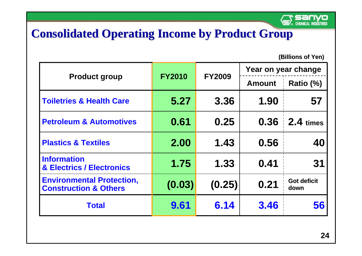![](_page_25_Picture_0.jpeg)

# **Consolidated Operating Income by Product Group**

|                                                                      |               |               | Year on year change |                            |  |
|----------------------------------------------------------------------|---------------|---------------|---------------------|----------------------------|--|
| <b>Product group</b>                                                 | <b>FY2010</b> | <b>FY2009</b> | <b>Amount</b>       | Ratio (%)                  |  |
| <b>Toiletries &amp; Health Care</b>                                  | 5.27          | 3.36          | 1.90                | 57                         |  |
| <b>Petroleum &amp; Automotives</b>                                   | 0.61          | 0.25          | 0.36                | $2.4 \times$               |  |
| <b>Plastics &amp; Textiles</b>                                       | 2.00          | 1.43          | 0.56                | 40                         |  |
| <b>Information</b><br><b>&amp; Electrics / Electronics</b>           | 1.75          | 1.33          | 0.41                | 31                         |  |
| <b>Environmental Protection,</b><br><b>Construction &amp; Others</b> | (0.03)        | (0.25)        | 0.21                | <b>Got deficit</b><br>down |  |
| <b>Total</b>                                                         | 9.61          | 6.14          | 3.46                | 56                         |  |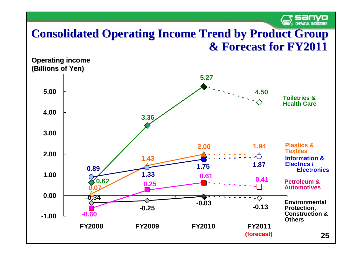![](_page_26_Picture_0.jpeg)

## **Consolidated Operating Income Trend by Product Group & Forecast for FY2011 ecast for FY2011**

![](_page_26_Figure_2.jpeg)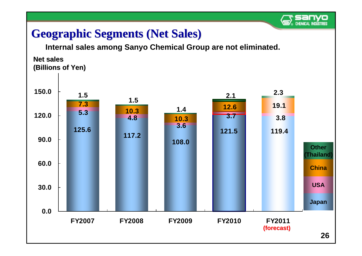![](_page_27_Picture_0.jpeg)

# **Geographic Segments (Net Sales) Geographic Segments (Net Sales)**

**Internal sales among Sanyo Chemical Group are not eliminated.** 

**180.0 (Billions of Yen) (Billions of Yen) Net sales Net sales**

![](_page_27_Figure_4.jpeg)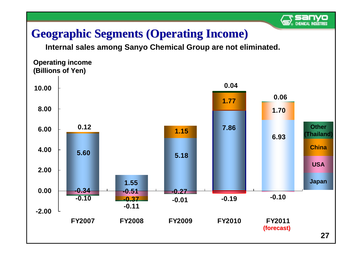# **Geographic Segments (Operating Income)**

**Internal sales among Sanyo Chemical Group are not eliminated.** 

**12.00 (Billions of Yen) (Billions of Yen) Operating income** 

![](_page_28_Figure_4.jpeg)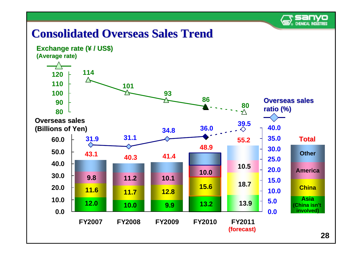![](_page_29_Picture_0.jpeg)

# **Consolidated Overseas Sales Trend Consolidated Overseas Sales Trend**

![](_page_29_Figure_2.jpeg)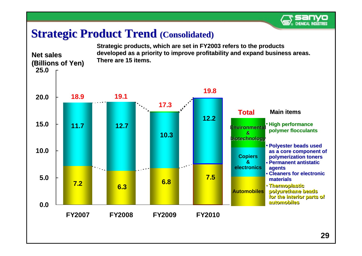![](_page_30_Picture_0.jpeg)

## **Strategic Product Trend (Consolidated)**

![](_page_30_Figure_2.jpeg)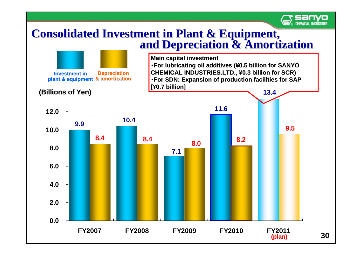![](_page_31_Picture_0.jpeg)

# **Consolidated Investment in Plant & Equipment,<br>and Depreciation & Amortization**

![](_page_31_Figure_2.jpeg)